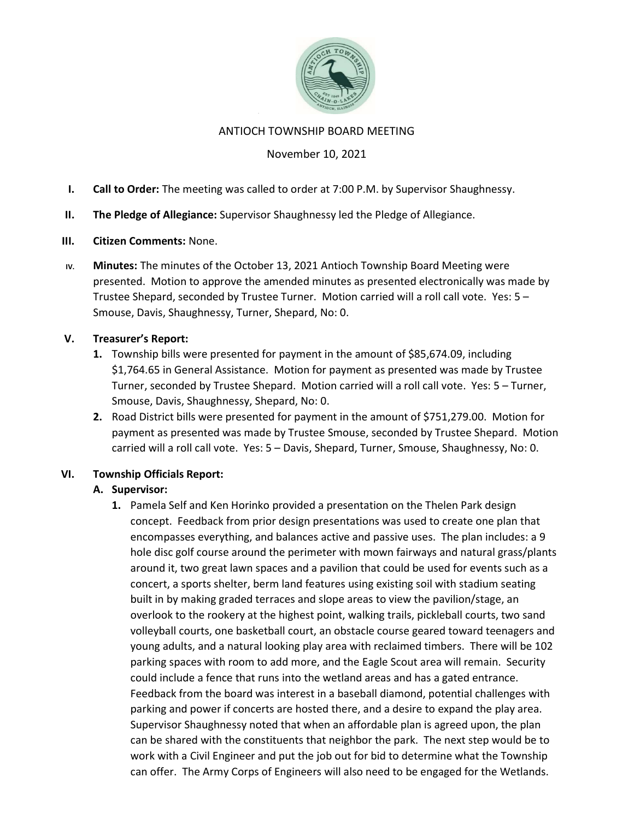

#### ANTIOCH TOWNSHIP BOARD MEETING

## November 10, 2021

- I. Call to Order: The meeting was called to order at 7:00 P.M. by Supervisor Shaughnessy.
- II. The Pledge of Allegiance: Supervisor Shaughnessy led the Pledge of Allegiance.
- III. Citizen Comments: None.
- IV. Minutes: The minutes of the October 13, 2021 Antioch Township Board Meeting were presented. Motion to approve the amended minutes as presented electronically was made by Trustee Shepard, seconded by Trustee Turner. Motion carried will a roll call vote. Yes: 5 – Smouse, Davis, Shaughnessy, Turner, Shepard, No: 0.

### V. Treasurer's Report:

- 1. Township bills were presented for payment in the amount of \$85,674.09, including \$1,764.65 in General Assistance. Motion for payment as presented was made by Trustee Turner, seconded by Trustee Shepard. Motion carried will a roll call vote. Yes: 5 – Turner, Smouse, Davis, Shaughnessy, Shepard, No: 0.
- 2. Road District bills were presented for payment in the amount of \$751,279.00. Motion for payment as presented was made by Trustee Smouse, seconded by Trustee Shepard. Motion carried will a roll call vote. Yes: 5 – Davis, Shepard, Turner, Smouse, Shaughnessy, No: 0.

### VI. Township Officials Report:

# A. Supervisor:

1. Pamela Self and Ken Horinko provided a presentation on the Thelen Park design concept. Feedback from prior design presentations was used to create one plan that encompasses everything, and balances active and passive uses. The plan includes: a 9 hole disc golf course around the perimeter with mown fairways and natural grass/plants around it, two great lawn spaces and a pavilion that could be used for events such as a concert, a sports shelter, berm land features using existing soil with stadium seating built in by making graded terraces and slope areas to view the pavilion/stage, an overlook to the rookery at the highest point, walking trails, pickleball courts, two sand volleyball courts, one basketball court, an obstacle course geared toward teenagers and young adults, and a natural looking play area with reclaimed timbers. There will be 102 parking spaces with room to add more, and the Eagle Scout area will remain. Security could include a fence that runs into the wetland areas and has a gated entrance. Feedback from the board was interest in a baseball diamond, potential challenges with parking and power if concerts are hosted there, and a desire to expand the play area. Supervisor Shaughnessy noted that when an affordable plan is agreed upon, the plan can be shared with the constituents that neighbor the park. The next step would be to work with a Civil Engineer and put the job out for bid to determine what the Township can offer. The Army Corps of Engineers will also need to be engaged for the Wetlands.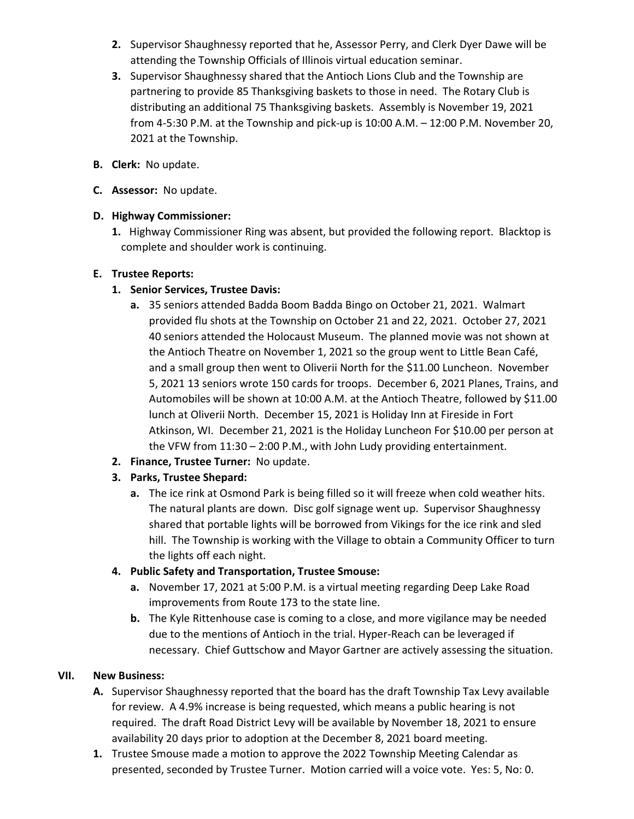- 2. Supervisor Shaughnessy reported that he, Assessor Perry, and Clerk Dyer Dawe will be attending the Township Officials of Illinois virtual education seminar.
- 3. Supervisor Shaughnessy shared that the Antioch Lions Club and the Township are partnering to provide 85 Thanksgiving baskets to those in need. The Rotary Club is distributing an additional 75 Thanksgiving baskets. Assembly is November 19, 2021 from 4-5:30 P.M. at the Township and pick-up is 10:00 A.M. – 12:00 P.M. November 20, 2021 at the Township.
- B. Clerk: No update.
- C. Assessor: No update.

## D. Highway Commissioner:

1. Highway Commissioner Ring was absent, but provided the following report. Blacktop is complete and shoulder work is continuing.

## E. Trustee Reports:

# 1. Senior Services, Trustee Davis:

- a. 35 seniors attended Badda Boom Badda Bingo on October 21, 2021. Walmart provided flu shots at the Township on October 21 and 22, 2021. October 27, 2021 40 seniors attended the Holocaust Museum. The planned movie was not shown at the Antioch Theatre on November 1, 2021 so the group went to Little Bean Café, and a small group then went to Oliverii North for the \$11.00 Luncheon. November 5, 2021 13 seniors wrote 150 cards for troops. December 6, 2021 Planes, Trains, and Automobiles will be shown at 10:00 A.M. at the Antioch Theatre, followed by \$11.00 lunch at Oliverii North. December 15, 2021 is Holiday Inn at Fireside in Fort Atkinson, WI. December 21, 2021 is the Holiday Luncheon For \$10.00 per person at the VFW from 11:30 – 2:00 P.M., with John Ludy providing entertainment.
- 2. Finance, Trustee Turner: No update.

# 3. Parks, Trustee Shepard:

a. The ice rink at Osmond Park is being filled so it will freeze when cold weather hits. The natural plants are down. Disc golf signage went up. Supervisor Shaughnessy shared that portable lights will be borrowed from Vikings for the ice rink and sled hill. The Township is working with the Village to obtain a Community Officer to turn the lights off each night.

# 4. Public Safety and Transportation, Trustee Smouse:

- a. November 17, 2021 at 5:00 P.M. is a virtual meeting regarding Deep Lake Road improvements from Route 173 to the state line.
- b. The Kyle Rittenhouse case is coming to a close, and more vigilance may be needed due to the mentions of Antioch in the trial. Hyper-Reach can be leveraged if necessary. Chief Guttschow and Mayor Gartner are actively assessing the situation.

### VII. New Business:

- A. Supervisor Shaughnessy reported that the board has the draft Township Tax Levy available for review. A 4.9% increase is being requested, which means a public hearing is not required. The draft Road District Levy will be available by November 18, 2021 to ensure availability 20 days prior to adoption at the December 8, 2021 board meeting.
- 1. Trustee Smouse made a motion to approve the 2022 Township Meeting Calendar as presented, seconded by Trustee Turner. Motion carried will a voice vote. Yes: 5, No: 0.